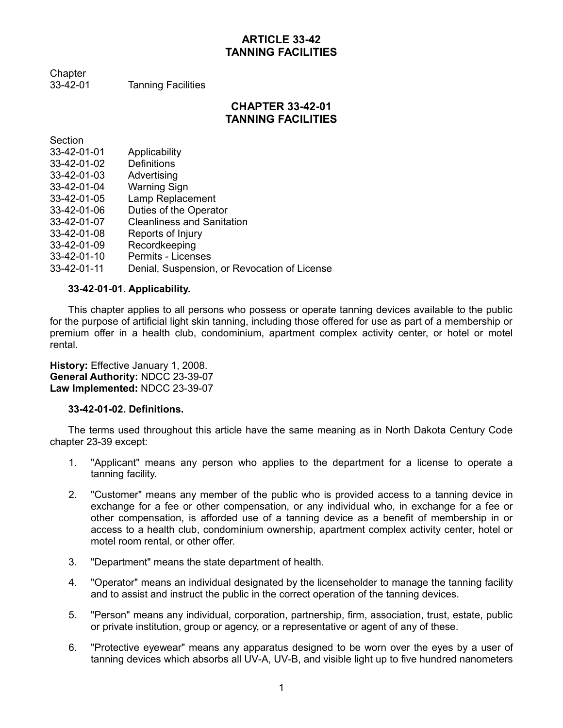## **ARTICLE 33-42 TANNING FACILITIES**

Chapter 33-42-01 Tanning Facilities

**CHAPTER 33-42-01**

# **TANNING FACILITIES**

**Section** 

| 33-42-01-01 | Applicability                                |
|-------------|----------------------------------------------|
| 33-42-01-02 | <b>Definitions</b>                           |
| 33-42-01-03 | Advertising                                  |
| 33-42-01-04 | Warning Sign                                 |
| 33-42-01-05 | Lamp Replacement                             |
| 33-42-01-06 | Duties of the Operator                       |
| 33-42-01-07 | <b>Cleanliness and Sanitation</b>            |
| 33-42-01-08 | Reports of Injury                            |
| 33-42-01-09 | Recordkeeping                                |
| 33-42-01-10 | Permits - Licenses                           |
| 33-42-01-11 | Denial, Suspension, or Revocation of License |

## **33-42-01-01. Applicability.**

This chapter applies to all persons who possess or operate tanning devices available to the public for the purpose of artificial light skin tanning, including those offered for use as part of a membership or premium offer in a health club, condominium, apartment complex activity center, or hotel or motel rental.

**History:** Effective January 1, 2008. **General Authority:** NDCC 23-39-07 **Law Implemented:** NDCC 23-39-07

## **33-42-01-02. Definitions.**

The terms used throughout this article have the same meaning as in North Dakota Century Code chapter 23-39 except:

- 1. "Applicant" means any person who applies to the department for a license to operate a tanning facility.
- 2. "Customer" means any member of the public who is provided access to a tanning device in exchange for a fee or other compensation, or any individual who, in exchange for a fee or other compensation, is afforded use of a tanning device as a benefit of membership in or access to a health club, condominium ownership, apartment complex activity center, hotel or motel room rental, or other offer.
- 3. "Department" means the state department of health.
- 4. "Operator" means an individual designated by the licenseholder to manage the tanning facility and to assist and instruct the public in the correct operation of the tanning devices.
- 5. "Person" means any individual, corporation, partnership, firm, association, trust, estate, public or private institution, group or agency, or a representative or agent of any of these.
- 6. "Protective eyewear" means any apparatus designed to be worn over the eyes by a user of tanning devices which absorbs all UV-A, UV-B, and visible light up to five hundred nanometers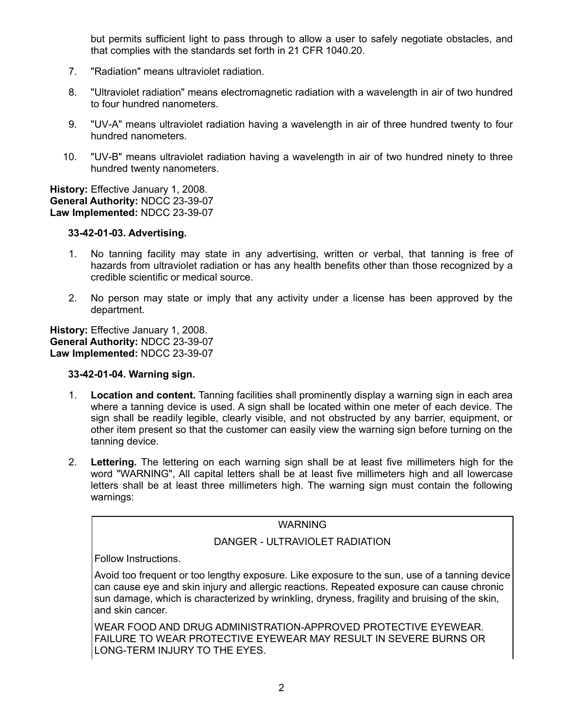but permits sufficient light to pass through to allow a user to safely negotiate obstacles, and that complies with the standards set forth in 21 CFR 1040.20.

- 7. "Radiation" means ultraviolet radiation.
- 8. "Ultraviolet radiation" means electromagnetic radiation with a wavelength in air of two hundred to four hundred nanometers.
- 9. "UV-A" means ultraviolet radiation having a wavelength in air of three hundred twenty to four hundred nanometers.
- 10. "UV-B" means ultraviolet radiation having a wavelength in air of two hundred ninety to three hundred twenty nanometers.

**History:** Effective January 1, 2008. **General Authority:** NDCC 23-39-07 **Law Implemented:** NDCC 23-39-07

## **33-42-01-03. Advertising.**

- 1. No tanning facility may state in any advertising, written or verbal, that tanning is free of hazards from ultraviolet radiation or has any health benefits other than those recognized by a credible scientific or medical source.
- 2. No person may state or imply that any activity under a license has been approved by the department.

**History:** Effective January 1, 2008. **General Authority:** NDCC 23-39-07 **Law Implemented:** NDCC 23-39-07

## **33-42-01-04. Warning sign.**

- 1. **Location and content.** Tanning facilities shall prominently display a warning sign in each area where a tanning device is used. A sign shall be located within one meter of each device. The sign shall be readily legible, clearly visible, and not obstructed by any barrier, equipment, or other item present so that the customer can easily view the warning sign before turning on the tanning device.
- 2. **Lettering.** The lettering on each warning sign shall be at least five millimeters high for the word "WARNING", All capital letters shall be at least five millimeters high and all lowercase letters shall be at least three millimeters high. The warning sign must contain the following warnings:

## WARNING

## DANGER - ULTRAVIOLET RADIATION

Follow Instructions.

Avoid too frequent or too lengthy exposure. Like exposure to the sun, use of a tanning device can cause eye and skin injury and allergic reactions. Repeated exposure can cause chronic sun damage, which is characterized by wrinkling, dryness, fragility and bruising of the skin, and skin cancer.

WEAR FOOD AND DRUG ADMINISTRATION-APPROVED PROTECTIVE EYEWEAR. FAILURE TO WEAR PROTECTIVE EYEWEAR MAY RESULT IN SEVERE BURNS OR LONG-TERM INJURY TO THE EYES.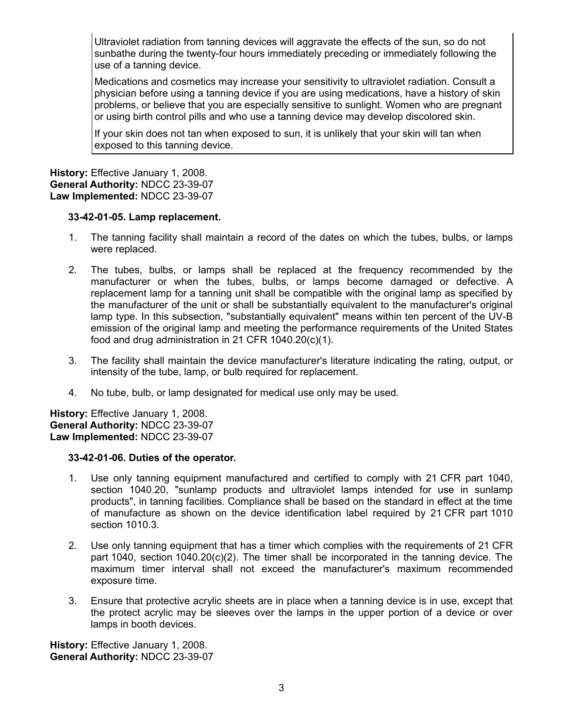Ultraviolet radiation from tanning devices will aggravate the effects of the sun, so do not sunbathe during the twenty-four hours immediately preceding or immediately following the use of a tanning device.

Medications and cosmetics may increase your sensitivity to ultraviolet radiation. Consult a physician before using a tanning device if you are using medications, have a history of skin problems, or believe that you are especially sensitive to sunlight. Women who are pregnant or using birth control pills and who use a tanning device may develop discolored skin.

If your skin does not tan when exposed to sun, it is unlikely that your skin will tan when exposed to this tanning device.

**History:** Effective January 1, 2008. **General Authority:** NDCC 23-39-07 **Law Implemented:** NDCC 23-39-07

#### **33-42-01-05. Lamp replacement.**

- 1. The tanning facility shall maintain a record of the dates on which the tubes, bulbs, or lamps were replaced.
- 2. The tubes, bulbs, or lamps shall be replaced at the frequency recommended by the manufacturer or when the tubes, bulbs, or lamps become damaged or defective. A replacement lamp for a tanning unit shall be compatible with the original lamp as specified by the manufacturer of the unit or shall be substantially equivalent to the manufacturer's original lamp type. In this subsection, "substantially equivalent" means within ten percent of the UV-B emission of the original lamp and meeting the performance requirements of the United States food and drug administration in 21 CFR 1040.20(c)(1).
- 3. The facility shall maintain the device manufacturer's literature indicating the rating, output, or intensity of the tube, lamp, or bulb required for replacement.
- 4. No tube, bulb, or lamp designated for medical use only may be used.

**History:** Effective January 1, 2008. **General Authority:** NDCC 23-39-07 **Law Implemented:** NDCC 23-39-07

#### **33-42-01-06. Duties of the operator.**

- 1. Use only tanning equipment manufactured and certified to comply with 21 CFR part 1040, section 1040.20, "sunlamp products and ultraviolet lamps intended for use in sunlamp products", in tanning facilities. Compliance shall be based on the standard in effect at the time of manufacture as shown on the device identification label required by 21 CFR part 1010 section 1010.3.
- 2. Use only tanning equipment that has a timer which complies with the requirements of 21 CFR part 1040, section 1040.20(c)(2). The timer shall be incorporated in the tanning device. The maximum timer interval shall not exceed the manufacturer's maximum recommended exposure time.
- 3. Ensure that protective acrylic sheets are in place when a tanning device is in use, except that the protect acrylic may be sleeves over the lamps in the upper portion of a device or over lamps in booth devices.

**History:** Effective January 1, 2008. **General Authority:** NDCC 23-39-07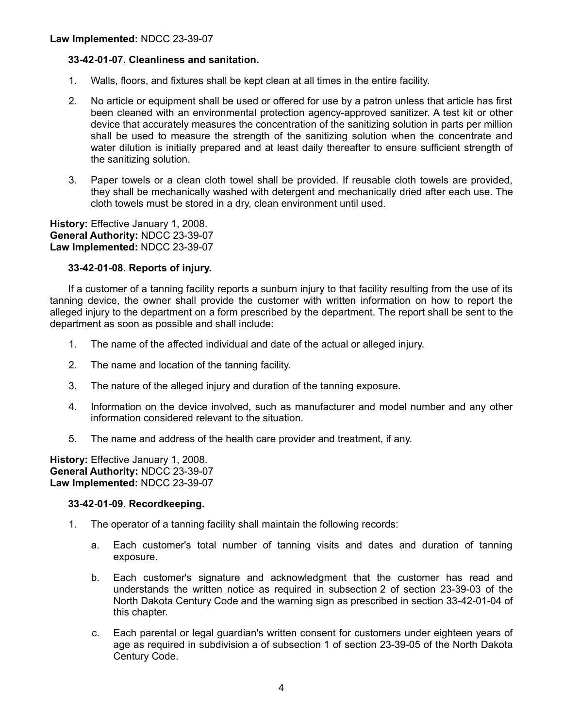## **33-42-01-07. Cleanliness and sanitation.**

- 1. Walls, floors, and fixtures shall be kept clean at all times in the entire facility.
- 2. No article or equipment shall be used or offered for use by a patron unless that article has first been cleaned with an environmental protection agency-approved sanitizer. A test kit or other device that accurately measures the concentration of the sanitizing solution in parts per million shall be used to measure the strength of the sanitizing solution when the concentrate and water dilution is initially prepared and at least daily thereafter to ensure sufficient strength of the sanitizing solution.
- 3. Paper towels or a clean cloth towel shall be provided. If reusable cloth towels are provided, they shall be mechanically washed with detergent and mechanically dried after each use. The cloth towels must be stored in a dry, clean environment until used.

**History:** Effective January 1, 2008. **General Authority:** NDCC 23-39-07 **Law Implemented:** NDCC 23-39-07

## **33-42-01-08. Reports of injury.**

If a customer of a tanning facility reports a sunburn injury to that facility resulting from the use of its tanning device, the owner shall provide the customer with written information on how to report the alleged injury to the department on a form prescribed by the department. The report shall be sent to the department as soon as possible and shall include:

- 1. The name of the affected individual and date of the actual or alleged injury.
- 2. The name and location of the tanning facility.
- 3. The nature of the alleged injury and duration of the tanning exposure.
- 4. Information on the device involved, such as manufacturer and model number and any other information considered relevant to the situation.
- 5. The name and address of the health care provider and treatment, if any.

**History:** Effective January 1, 2008. **General Authority:** NDCC 23-39-07 **Law Implemented:** NDCC 23-39-07

#### **33-42-01-09. Recordkeeping.**

- 1. The operator of a tanning facility shall maintain the following records:
	- a. Each customer's total number of tanning visits and dates and duration of tanning exposure.
	- b. Each customer's signature and acknowledgment that the customer has read and understands the written notice as required in subsection 2 of section 23-39-03 of the North Dakota Century Code and the warning sign as prescribed in section 33-42-01-04 of this chapter.
	- c. Each parental or legal guardian's written consent for customers under eighteen years of age as required in subdivision a of subsection 1 of section 23-39-05 of the North Dakota Century Code.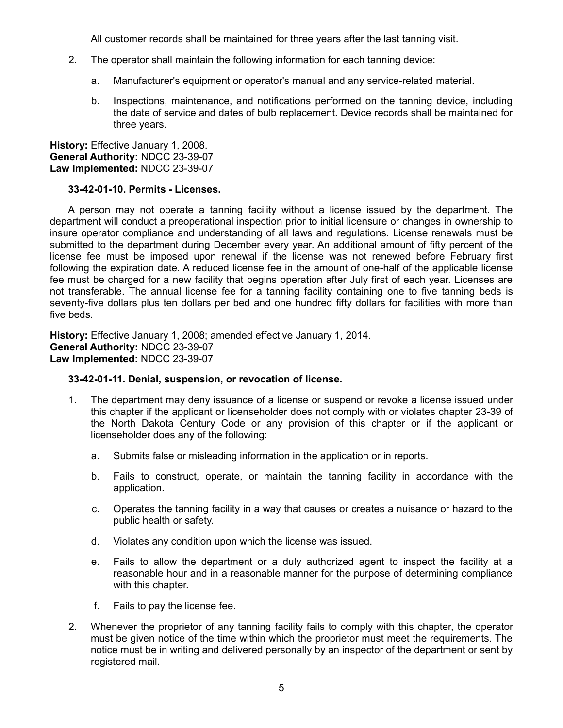All customer records shall be maintained for three years after the last tanning visit.

- 2. The operator shall maintain the following information for each tanning device:
	- a. Manufacturer's equipment or operator's manual and any service-related material.
	- b. Inspections, maintenance, and notifications performed on the tanning device, including the date of service and dates of bulb replacement. Device records shall be maintained for three years.

**History:** Effective January 1, 2008. **General Authority:** NDCC 23-39-07 **Law Implemented:** NDCC 23-39-07

#### **33-42-01-10. Permits - Licenses.**

A person may not operate a tanning facility without a license issued by the department. The department will conduct a preoperational inspection prior to initial licensure or changes in ownership to insure operator compliance and understanding of all laws and regulations. License renewals must be submitted to the department during December every year. An additional amount of fifty percent of the license fee must be imposed upon renewal if the license was not renewed before February first following the expiration date. A reduced license fee in the amount of one-half of the applicable license fee must be charged for a new facility that begins operation after July first of each year. Licenses are not transferable. The annual license fee for a tanning facility containing one to five tanning beds is seventy-five dollars plus ten dollars per bed and one hundred fifty dollars for facilities with more than five beds.

**History:** Effective January 1, 2008; amended effective January 1, 2014. **General Authority:** NDCC 23-39-07 **Law Implemented:** NDCC 23-39-07

#### **33-42-01-11. Denial, suspension, or revocation of license.**

- 1. The department may deny issuance of a license or suspend or revoke a license issued under this chapter if the applicant or licenseholder does not comply with or violates chapter 23-39 of the North Dakota Century Code or any provision of this chapter or if the applicant or licenseholder does any of the following:
	- a. Submits false or misleading information in the application or in reports.
	- b. Fails to construct, operate, or maintain the tanning facility in accordance with the application.
	- c. Operates the tanning facility in a way that causes or creates a nuisance or hazard to the public health or safety.
	- d. Violates any condition upon which the license was issued.
	- e. Fails to allow the department or a duly authorized agent to inspect the facility at a reasonable hour and in a reasonable manner for the purpose of determining compliance with this chapter.
	- f. Fails to pay the license fee.
- 2. Whenever the proprietor of any tanning facility fails to comply with this chapter, the operator must be given notice of the time within which the proprietor must meet the requirements. The notice must be in writing and delivered personally by an inspector of the department or sent by registered mail.